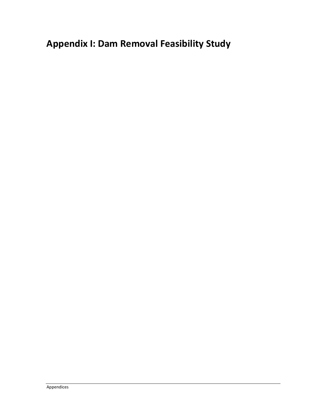# **Appendix I: Dam Removal Feasibility Study**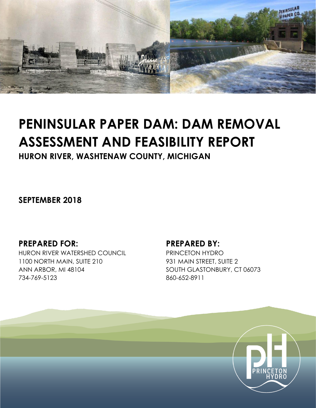

# **PENINSULAR PAPER DAM: DAM REMOVAL ASSESSMENT AND FEASIBILITY REPORT**

**HURON RIVER, WASHTENAW COUNTY, MICHIGAN**

**SEPTEMBER 2018**

# **PREPARED FOR: PREPARED BY:**

HURON RIVER WATERSHED COUNCIL 1100 NORTH MAIN, SUITE 210 ANN ARBOR, MI 48104 734-769-5123

PRINCETON HYDRO 931 MAIN STREET, SUITE 2 SOUTH GLASTONBURY, CT 06073 860-652-8911

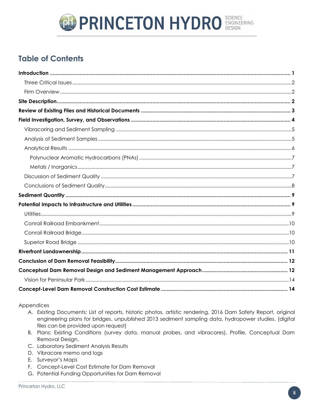

# **Table of Contents**

Appendices

- A. Existing Documents: List of reports, historic photos, artistic rendering, 2016 Dam Safety Report, original engineering plans for bridges, unpublished 2013 sediment sampling data, hydropower studies. (digital files can be provided upon request)
- B. Plans: Existing Conditions (survey data, manual probes, and vibracores), Profile, Conceptual Dam Removal Design.
- C. Laboratory Sediment Analysis Results
- D. Vibracore memo and logs
- E. Surveyor's Maps
- F. Concept-Level Cost Estimate for Dam Removal
- G. Potential Funding Opportunities for Dam Removal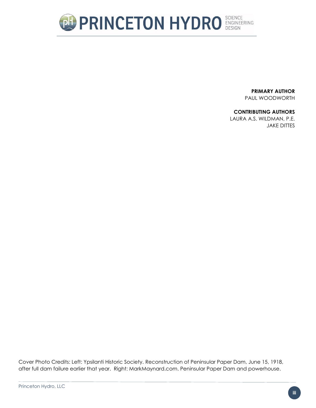

**PRIMARY AUTHOR**

PAUL WOODWORTH

#### **CONTRIBUTING AUTHORS**

LAURA A.S. WILDMAN, P.E. JAKE DITTES

Cover Photo Credits: Left: Ypsilanti Historic Society. Reconstruction of Peninsular Paper Dam, June 15, 1918, after full dam failure earlier that year. Right: MarkMaynard.com. Peninsular Paper Dam and powerhouse.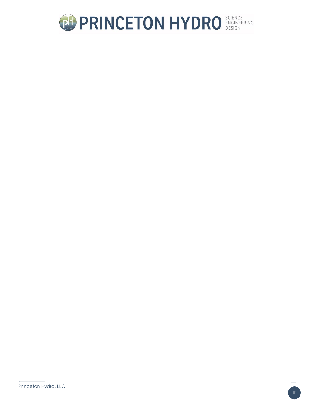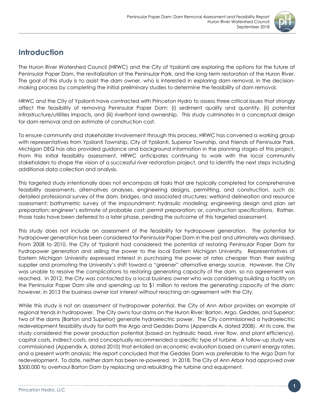

# <span id="page-5-0"></span>**Introduction**

The Huron River Watershed Council (HRWC) and the City of Ypsilanti are exploring the options for the future of Peninsular Paper Dam, the revitalization of the Peninsular Park, and the long-term restoration of the Huron River. The goal of this study is to assist the dam owner, who is interested in exploring dam removal, in the decisionmaking process by completing the initial preliminary studies to determine the feasibility of dam removal.

HRWC and the City of Ypsilanti have contracted with Princeton Hydro to assess three critical issues that strongly affect the feasibility of removing Peninsular Paper Dam: (i) sediment quality and quantity, (ii) potential infrastructure/utilities impacts, and (iii) riverfront land ownership. This study culminates in a conceptual design for dam removal and an estimate of construction cost.

To ensure community and stakeholder involvement through this process, HRWC has convened a working group with representatives from Ypsilanti Township, City of Ypsilanti, Superior Township, and Friends of Peninsular Park. Michigan DEQ has also provided guidance and background information in the planning stages of this project. From this initial feasibility assessment, HRWC anticipates continuing to work with the local community stakeholders to shape the vision of a successful river restoration project, and to identify the next steps including additional data collection and analysis.

This targeted study intentionally does not encompass all tasks that are typically completed for comprehensive feasibility assessments, alternatives analyses, engineering designs, permitting, and construction, such as: detailed professional survey of the dam, bridges, and associated structures; wetland delineation and resource assessment; bathymetric survey of the impoundment; hydraulic modeling; engineering design and plan set preparation; engineer's estimate of probable cost; permit preparation; or, construction specifications. Rather, those tasks have been deferred to a later phase, pending the outcome of this targeted assessment.

This study does not include an assessment of the feasibility for hydropower generation. The potential for hydropower generation has been considered for Peninsular Paper Dam in the past and ultimately was dismissed. From 2008 to 2010, the City of Ypsilanti had considered the potential of restoring Peninsular Paper Dam for hydropower generation and selling the power to the local Eastern Michigan University. Representatives of Eastern Michigan University expressed interest in purchasing the power at rates cheaper than their existing supplier and promoting the University's shift toward a "greener" alternative energy source. However, the City was unable to resolve the complications to restoring generating capacity of the dam, so no agreement was reached. In 2012, the City was contacted by a local business owner who was considering building a facility on the Peninsular Paper Dam site and spending up to \$1 million to restore the generating capacity of the dam; however, in 2013 the business owner lost interest without reaching an agreement with the City.

While this study is not an assessment of hydropower potential, the City of Ann Arbor provides an example of regional trends in hydropower. The City owns four dams on the Huron River: Barton, Argo, Geddes, and Superior; two of the dams (Barton and Superior) generate hydroelectric power. The City commissioned a hydroelectric redevelopment feasibility study for both the Argo and Geddes Dams (Appendix A, dated 2008). At its core, the study considered the power production potential (based on hydraulic head, river flow, and plant efficiency), capital costs, indirect costs, and conceptually recommended a specific type of turbine. A follow-up study was commissioned (Appendix A, dated 2010) that entailed an economic evaluation based on current energy rates, and a present worth analysis; the report concluded that the Geddes Dam was preferable to the Argo Dam for redevelopment. To date, neither dam has been re-powered. In 2018, The City of Ann Arbor had approved over \$500,000 to overhaul Barton Dam by replacing and rebuilding the turbine and equipment.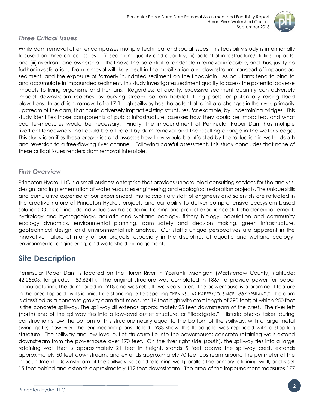

#### <span id="page-6-0"></span>*Three Critical Issues*

While dam removal often encompasses multiple technical and social issues, this feasibility study is intentionally focused on three critical issues -- (i) sediment quality and quantity, (ii) potential infrastructure/utilities impacts, and (iii) riverfront land ownership -- that have the potential to render dam removal infeasible, and thus, justify no further investigation. Dam removal will likely result in the mobilization and downstream transport of impounded sediment, and the exposure of formerly inundated sediment on the floodplain. As pollutants tend to bind to and accumulate in impounded sediment, this study investigates sediment quality to assess the potential adverse impacts to living organisms and humans. Regardless of quality, excessive sediment quantity can adversely impact downstream reaches by burying stream bottom habitat, filling pools, or potentially raising flood elevations. In addition, removal of a 17 ft-high spillway has the potential to initiate changes in the river, primarily upstream of the dam, that could adversely impact existing structures, for example, by undermining bridges. This study identifies those components of public infrastructure, assesses how they could be impacted, and what counter-measures would be necessary. Finally, the impoundment of Peninsular Paper Dam has multiple riverfront landowners that could be affected by dam removal and the resulting change in the water's edge. This study identifies these properties and assesses how they would be affected by the reduction in water depth and reversion to a free-flowing river channel. Following careful assessment, this study concludes that none of these critical issues renders dam removal infeasible.

#### <span id="page-6-1"></span>*Firm Overview*

Princeton Hydro, LLC is a small business enterprise that provides unparalleled consulting services for the analysis, design, and implementation of water resources engineering and ecological restoration projects. The unique skills and cumulative expertise of our experienced, multidisciplinary staff of engineers and scientists are reflected in the creative nature of Princeton Hydro's projects and our ability to deliver comprehensive ecosystem-based solutions. Our staff include individuals with academic training and project experience stakeholder engagement, hydrology and hydrogeology, aquatic and wetland ecology, fishery biology, population and community ecology dynamics, environmental planning, dam safety and decision making, green infrastructure, geotechnical design, and environmental risk analysis. Our staff's unique perspectives are apparent in the innovative nature of many of our projects, especially in the disciplines of aquatic and wetland ecology, environmental engineering, and watershed management.

# <span id="page-6-2"></span>**Site Description**

Peninsular Paper Dam is located on the Huron River in Ypsilanti, Michigan (Washtenaw County) (latitude: 42.25605, longitude: ‐ 83.6241). The original structure was completed in 1867 to provide power for paper manufacturing. The dam failed in 1918 and was rebuilt two years later. The powerhouse is a prominent feature in the area topped by its iconic, free-standing letters spelling "PENINSULAR PAPER CO. SINCE 1867 YPSILANTI." The dam is classified as a concrete gravity dam that measures 16 feet high with crest length of 290 feet; of which 250 feet is the concrete spillway. The spillway sill extends approximately 25 feet downstream of the crest. The river left (north) end of the spillway ties into a low-level outlet structure, or "floodgate." Historic photos taken during construction show the bottom of this structure nearly equal to the bottom of the spillway, with a large metal swing gate; however, the engineering plans dated 1983 show this floodgate was replaced with a stop-log structure. The spillway and low-level outlet structure tie into the powerhouse; concrete retaining walls extend downstream from the powerhouse over 170 feet. On the river right side (south), the spillway ties into a large retaining wall that is approximately 21 feet in height, stands 5 feet above the spillway crest, extends approximately 60 feet downstream, and extends approximately 70 feet upstream around the perimeter of the impoundment. Downstream of the spillway, second retaining wall parallels the primary retaining wall, and is set 15 feet behind and extends approximately 112 feet downstream. The area of the impoundment measures 177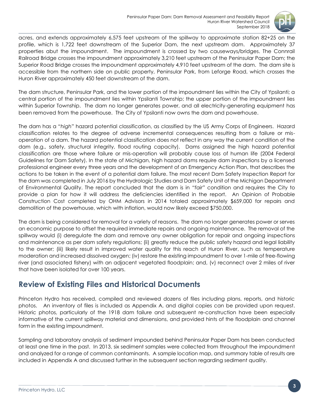

acres, and extends approximately 6,575 feet upstream of the spillway to approximate station 82+25 on the profile, which is 1,722 feet downstream of the Superior Dam, the next upstream dam. Approximately 37 properties abut the impoundment. The impoundment is crossed by two causeways/bridges. The Connrail Railroad Bridge crosses the impoundment approximately 3,210 feet upstream of the Peninsular Paper Dam; the Superior Road Bridge crosses the impoundment approximately 4,910 feet upstream of the dam. The dam site is accessible from the northern side on public property, Peninsular Park, from Leforge Road, which crosses the Huron River approximately 450 feet downstream of the dam.

The dam structure, Peninsular Park, and the lower portion of the impoundment lies within the City of Ypsilanti; a central portion of the impoundment lies within Ypsilanti Township; the upper portion of the impoundment lies within Superior Township. The dam no longer generates power, and all electricity-generating equipment has been removed from the powerhouse. The City of Ypsilanti now owns the dam and powerhouse.

The dam has a "*high*" hazard potential classification, as classified by the US Army Corps of Engineers. Hazard classification relates to the degree of adverse incremental consequences resulting from a failure or misoperation of a dam. The hazard potential classification does not reflect in any way the current condition of the dam (e.g., safety, structural integrity, flood routing capacity). Dams assigned the high hazard potential classification are those where failure or mis-operation will probably cause loss of human life (2004 Federal Guidelines for Dam Safety). In the state of Michigan, high hazard dams require dam inspections by a licensed professional engineer every three years and the development of an Emergency Action Plan, that describes the actions to be taken in the event of a potential dam failure. The most recent Dam Safety Inspection Report for the dam was completed in July 2016 by the Hydrologic Studies and Dam Safety Unit of the Michigan Department of Environmental Quality. The report concluded that the dam is in "*fair"* condition and requires the City to provide a plan for how it will address the deficiencies identified in the report. An Opinion of Probable Construction Cost completed by OHM Advisors in 2014 totaled approximately \$659,000 for repairs and demolition of the powerhouse, which with inflation, would now likely exceed \$750,000.

The dam is being considered for removal for a variety of reasons. The dam no longer generates power or serves an economic purpose to offset the required immediate repairs and ongoing maintenance. The removal of the spillway would (i) deregulate the dam and remove any owner obligation for repair and ongoing inspections and maintenance as per dam safety regulations; (ii) greatly reduce the public safety hazard and legal liability to the owner; (iii) likely result in improved water quality for this reach of Huron River, such as temperature moderation and increased dissolved oxygen; (iv) restore the existing impoundment to over 1-mile of free-flowing river (and associated fishery) with an adjacent vegetated floodplain; and, (v) reconnect over 2 miles of river that have been isolated for over 100 years.

# <span id="page-7-0"></span>**Review of Existing Files and Historical Documents**

Princeton Hydro has received, compiled and reviewed dozens of files including plans, reports, and historic photos. An inventory of files is included as Appendix A, and digital copies can be provided upon request. Historic photos, particularly of the 1918 dam failure and subsequent re-construction have been especially informative of the current spillway material and dimensions, and provided hints of the floodplain and channel form in the existing impoundment.

Sampling and laboratory analysis of sediment impounded behind Peninsular Paper Dam has been conducted at least one time in the past. In 2013, six sediment samples were collected from throughout the impoundment and analyzed for a range of common contaminants. A sample location map, and summary table of results are included in Appendix A and discussed further in the subsequent section regarding sediment quality.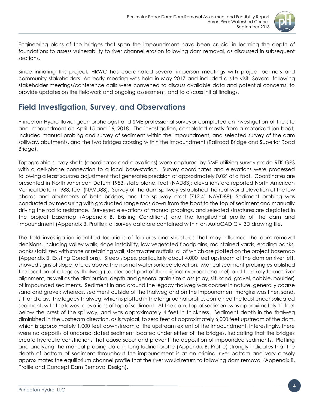

Engineering plans of the bridges that span the impoundment have been crucial in learning the depth of foundations to assess vulnerability to river channel erosion following dam removal, as discussed in subsequent sections.

Since initiating this project, HRWC has coordinated several in-person meetings with project partners and community stakeholders. An early meeting was held in May 2017 and included a site visit. Several following stakeholder meetings/conference calls were convened to discuss available data and potential concerns, to provide updates on the fieldwork and ongoing assessment, and to discuss initial findings.

# <span id="page-8-0"></span>**Field Investigation, Survey, and Observations**

Princeton Hydro fluvial geomorphologist and SME professional surveyor completed an investigation of the site and impoundment on April 15 and 16, 2018. The investigation, completed mostly from a motorized jon boat, included manual probing and survey of sediment within the impoundment, and selected survey of the dam spillway, abutments, and the two bridges crossing within the impoundment (Railroad Bridge and Superior Road Bridge).

Topographic survey shots (coordinates and elevations) were captured by SME utilizing survey-grade RTK GPS with a cell-phone connection to a local base-station. Survey coordinates and elevations were processed following a least squares adjustment that generates precision of approximately 0.02' of a foot. Coordinates are presented in North American Datum 1983, state plane, feet (NAD83); elevations are reported North American Vertical Datum 1988, feet (NAVD88). Survey of the dam spillway established the real-world elevation of the low chords and abutments of both bridges, and the spillway crest (712.4' NAVD88). Sediment probing was conducted by measuring with graduated range rods down from the boat to the top of sediment and manually driving the rod to resistance. Surveyed elevations of manual probings, and selected structures are depicted in the project basemap (Appendix B, Existing Conditions) and the longitudinal profile of the dam and impoundment (Appendix B, Profile); all survey data are contained within an AutoCAD Civil3D drawing file.

The field investigation identified locations of features and structures that may influence the dam removal decisions, including valley walls, slope instability, low vegetated floodplains, maintained yards, eroding banks, banks stabilized with stone or retaining wall, stormwater outfalls; all of which are plotted on the project basemap (Appendix B, Existing Conditions). Steep slopes, particularly about 4,000 feet upstream of the dam on river left, showed signs of slope failures above the normal water surface elevation. Manual sediment probing established the location of a legacy thalweg (i.e. deepest part of the original riverbed channel) and the likely former river alignment, as well as the distribution, depth and general grain size class (clay, silt, sand, gravel, cobble, boulder) of impounded sediments. Sediment in and around the legacy thalweg was coarser in nature, generally coarse sand and gravel; whereas, sediment outside of the thalweg and on the impoundment margins was finer, sand, silt, and clay. The legacy thalweg, which is plotted in the longitudinal profile, contained the least unconsolidated sediment, with the lowest elevations of top of sediment. At the dam, top of sediment was approximately 11 feet below the crest of the spillway, and was approximately 4 feet in thickness. Sediment depth in the thalweg diminished in the upstream direction, as is typical, to zero feet at approximately 6,000 feet upstream of the dam, which is approximately 1,000 feet downstream of the upstream extent of the impoundment. Interestingly, there were no deposits of unconsolidated sediment located under either of the bridges, indicating that the bridges create hydraulic constrictions that cause scour and prevent the deposition of impounded sediments. Plotting and analyzing the manual probing data in longitudinal profile (Appendix B, Profile) strongly indicates that the depth of bottom of sediment throughout the impoundment is at an original river bottom and very closely approximates the equilibrium channel profile that the river would return to following dam removal (Appendix B, Profile and Concept Dam Removal Design).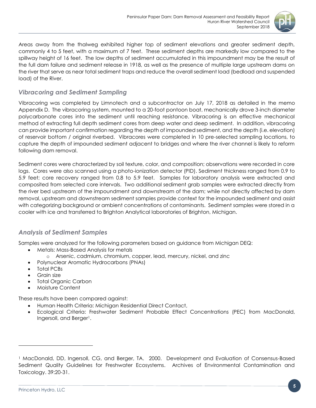

Areas away from the thalweg exhibited higher top of sediment elevations and greater sediment depth, commonly 4 to 5 feet, with a maximum of 7 feet. These sediment depths are markedly low compared to the spillway height of 16 feet. The low depths of sediment accumulated in this impoundment may be the result of the full dam failure and sediment release in 1918, as well as the presence of multiple large upstream dams on the river that serve as near total sediment traps and reduce the overall sediment load (bedload and suspended load) of the River.

#### <span id="page-9-0"></span>*Vibracoring and Sediment Sampling*

Vibracoring was completed by Limnotech and a subcontractor on July 17, 2018 as detailed in the memo Appendix D. The vibracoring system, mounted to a 20-foot pontoon boat, mechanically drove 3-inch diameter polycarbonate cores into the sediment until reaching resistance. Vibracoring is an effective mechanical method of extracting full depth sediment cores from deep water and deep sediment. In addition, vibracoring can provide important confirmation regarding the depth of impounded sediment, and the depth (i.e. elevation) of reservoir bottom / original riverbed. Vibracores were completed in 10 pre-selected sampling locations, to capture the depth of impounded sediment adjacent to bridges and where the river channel is likely to reform following dam removal.

Sediment cores were characterized by soil texture, color, and composition; observations were recorded in core logs. Cores were also scanned using a photo-ionization detector (PID). Sediment thickness ranged from 0.9 to 5.9 feet; core recovery ranged from 0.8 to 5.9 feet. Samples for laboratory analysis were extracted and composited from selected core intervals. Two additional sediment grab samples were extracted directly from the river bed upstream of the impoundment and downstream of the dam; while not directly affected by dam removal, upstream and downstream sediment samples provide context for the impounded sediment and assist with categorizing background or ambient concentrations of contaminants. Sediment samples were stored in a cooler with ice and transferred to Brighton Analytical laboratories of Brighton, Michigan.

#### <span id="page-9-1"></span>*Analysis of Sediment Samples*

Samples were analyzed for the following parameters based on guidance from Michigan DEQ:

- Metals: Mass-Based Analysis for metals
	- o Arsenic, cadmium, chromium, copper, lead, mercury, nickel, and zinc
- Polynuclear Aromatic Hydrocarbons (PNAs)
- Total PCBs
- Grain size
- Total Organic Carbon
- Moisture Content

These results have been compared against:

- Human Health Criteria: Michigan Residential Direct Contact,
- Ecological Criteria: Freshwater Sediment Probable Effect Concentrations (PEC) from MacDonald, Ingersoll, and Berger<sup>1</sup>.

l

<sup>1</sup> MacDonald, DD, Ingersoll, CG, and Berger, TA. 2000. Development and Evaluation of Consensus-Based Sediment Quality Guidelines for Freshwater Ecosystems. Archives of Environmental Contamination and Toxicology. 39:20-31.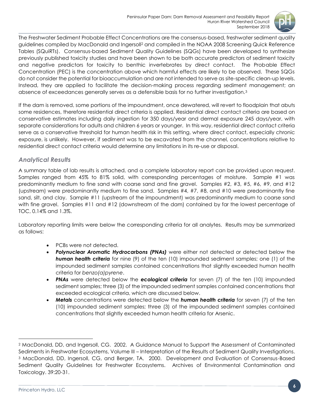

The Freshwater Sediment Probable Effect Concentrations are the consensus-based, freshwater sediment quality guidelines compiled by MacDonald and Ingersoll<sup>2</sup> and compiled in the NOAA 2008 Screening Quick Reference Tables (SQuiRTs). Consensus-based Sediment Quality Guidelines (SQGs) have been developed to synthesize previously published toxicity studies and have been shown to be both accurate predictors of sediment toxicity and negative predictors for toxicity to benthic invertebrates by direct contact. The Probable Effect Concentration (PEC) is the concentration above which harmful effects are likely to be observed. These SQGs do not consider the potential for bioaccumulation and are not intended to serve as site-specific clean-up levels. Instead, they are applied to facilitate the decision-making process regarding sediment management; an absence of exceedances generally serves as a defensible basis for no further investigation.<sup>3</sup>

If the dam is removed, some portions of the impoundment, once dewatered, will revert to floodplain that abuts some residences, therefore residential direct criteria is applied. Residential direct contact criteria are based on conservative estimates including daily ingestion for 350 days/year and dermal exposure 245 days/year, with separate considerations for adults and children 6 years or younger. In this way, residential direct contact criteria serve as a conservative threshold for human health risk in this setting, where direct contact, especially chronic exposure, is unlikely. However, if sediment was to be excavated from the channel, concentrations relative to residential direct contact criteria would determine any limitations in its re-use or disposal.

#### <span id="page-10-0"></span>*Analytical Results*

A summary table of lab results is attached, and a complete laboratory report can be provided upon request. Samples ranged from 45% to 81% solid, with corresponding percentages of moisture. Sample #1 was predominantly medium to fine sand with coarse sand and fine gravel. Samples #2, #3, #5, #6, #9, and #12 (upstream) were predominantly medium to fine sand. Samples #4, #7, #8, and #10 were predominantly fine sand, silt, and clay. Sample #11 (upstream of the impoundment) was predominantly medium to coarse sand with fine gravel. Samples #11 and #12 (downstream of the dam) contained by far the lowest percentage of TOC, 0.14% and 1.3%.

Laboratory reporting limits were below the corresponding criteria for all analytes. Results may be summarized as follows:

- PCBs were not detected.
- *Polynuclear Aromatic Hydrocarbons (PNAs)* were either not detected or detected below the *human health criteria* for nine (9) of the ten (10) impounded sediment samples; one (1) of the impounded sediment samples contained concentrations that slightly exceeded human health criteria for *benzo(a)pyrene*.
- *PNAs* were detected below the *ecological criteria* for seven (7) of the ten (10) impounded sediment samples; three (3) of the impounded sediment samples contained concentrations that exceeded ecological criteria, which are discussed below.
- *Metals* concentrations were detected below the *human health criteria* for seven (7) of the ten (10) impounded sediment samples; three (3) of the impounded sediment samples contained concentrations that slightly exceeded human health criteria for Arsenic.

l

<sup>2</sup> MacDonald, DD, and Ingersoll, CG. 2002. A Guidance Manual to Support the Assessment of Contaminated Sediments in Freshwater Ecosystems, Volume III – Interpretation of the Results of Sediment Quality Investigations. <sup>3</sup> MacDonald, DD, Ingersoll, CG, and Berger, TA. 2000. Development and Evaluation of Consensus-Based Sediment Quality Guidelines for Freshwater Ecosystems. Archives of Environmental Contamination and Toxicology. 39:20-31.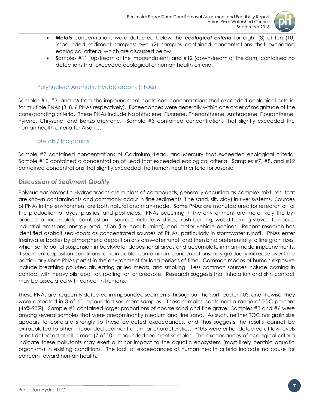

- *Metals* concentrations were detected below the *ecological criteria* for eight (8) of ten (10) impounded sediment samples; two (2) samples contained concentrations that exceeded ecological criteria, which are discussed below.
- Samples #11 (upstream of the impoundment) and #12 (downstream of the dam) contained no detections that exceeded ecological or human health criteria.

#### Polynuclear Aromatic Hydrocarbons (PNAs)

<span id="page-11-0"></span>Samples #1, #3, and #6 from the impoundment contained concentrations that exceeded ecological criteria for multiple PNAs (3, 8, 6 PNAs respectively). Exceedances were generally within one order of magnitude of the corresponding criteria. These PNAs include Naphthalene, Fluorene, Phenanthrene, Anthracene, Flouranthene, Pyrene, Chrysene, and Benzo(a)pyrene. Sample #3 contained concentrations that slightly exceeded the human health criteria for Arsenic.

#### Metals / Inorganics

<span id="page-11-1"></span>Sample #7 contained concentrations of Cadmium, Lead, and Mercury that exceeded ecological criteria. Sample #10 contained a concentration of Lead that exceeded ecological criteria. Samples #7, #8, and #12 contained concentrations that slightly exceeded the human health criteria for Arsenic.

#### <span id="page-11-2"></span>*Discussion of Sediment Quality*

Polynuclear Aromatic Hydrocarbons are a class of compounds, generally occurring as complex mixtures, that are known contaminants and commonly occur in fine sediments (fine sand, silt, clay) in river systems. Sources of PNAs in the environment are both natural and man-made. Some PNAs are manufactured for research or for the production of dyes, plastics, and pesticides. PNAs occurring in the environment are more likely the byproduct of incomplete combustion – sources include wildfires, trash burning, wood-burning stoves, furnaces, industrial emissions, energy production (i.e. coal burning), and motor vehicle engines. Recent research has identified asphalt seal-coats as concentrated sources of PNAs, particularly in stormwater runoff. PNAs enter freshwater bodies by atmospheric deposition or stormwater runoff and then bind preferentially to fine grain sizes, which settle out of suspension in backwater depositional areas and accumulate in man-made impoundments. If sediment deposition conditions remain stable, contaminant concentrations may gradually increase over time particularly since PNAs persist in the environment for long periods of time. Common modes of human exposure include breathing polluted air, eating grilled meats, and smoking. Less common sources include coming in contact with heavy oils, coal tar, roofing tar, or creosote. Research suggests that inhalation and skin contact may be associated with cancer in humans.

These PNAs are frequently detected in impounded sediments throughout the northeastern US; and likewise, they were detected in 3 of 10 impounded sediment samples. These samples contained a range of TOC percent (46%-90%). Sample #1 contained larger proportions of coarse sand and fine gravel; Samples #3 and #6 were among several samples that were predominantly medium and fine sand. As such, neither TOC nor grain size appears to correlate strongly to these detected exceedances, and thus suggests the results cannot be extrapolated to other impounded sediment of similar characteristics. PNAs were either detected at low levels or not detected at all in most (7 of 10) impounded sediment samples. The exceedances of ecological criteria indicate these pollutants may exert a minor impact to the aquatic ecosystem (most likely benthic aquatic organisms) in existing conditions. The lack of exceedances of human health criteria indicate no cause for concern toward human health.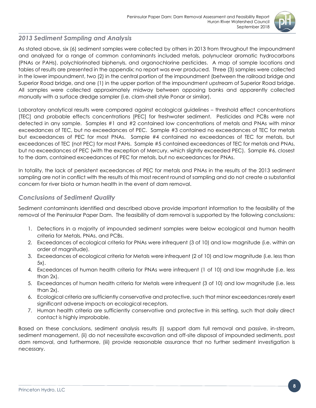

#### *2013 Sediment Sampling and Analysis*

As stated above, six (6) sediment samples were collected by others in 2013 from throughout the impoundment and analyzed for a range of common contaminants included metals, polynuclear aromatic hydrocarbons (PNAs or PAHs), polychlorinated biphenyls, and organochlorine pesticides. A map of sample locations and tables of results are presented in the appendix; no report was ever produced. Three (3) samples were collected in the lower impoundment, two (2) in the central portion of the impoundment (between the railroad bridge and Superior Road bridge, and one (1) in the upper portion of the impoundment upstream of Superior Road bridge. All samples were collected approximately midway between opposing banks and apparently collected manually with a surface dredge sampler (i.e. clam-shell style Ponar or similar).

Laboratory analytical results were compared against ecological guidelines – threshold effect concentrations [TEC] and probable effects concentrations [PEC] for freshwater sediment. Pesticides and PCBs were not detected in any sample. Samples #1 and #2 contained low concentrations of metals and PNAs with minor exceedances of TEC, but no exceedances of PEC. Sample #3 contained no exceedances of TEC for metals but exceedances of PEC for most PNAs. Sample #4 contained no exceedances of TEC for metals, but exceedances of TEC (not PEC) for most PAHs. Sample #5 contained exceedances of TEC for metals and PNAs, but no exceedances of PEC (with the exception of Mercury, which slightly exceeded PEC). Sample #6, closest to the dam, contained exceedances of PEC for metals, but no exceedances for PNAs.

In totality, the lack of persistent exceedances of PEC for metals and PNAs in the results of the 2013 sediment sampling are not in conflict with the results of this most recent round of sampling and do not create a substantial concern for river biota or human health in the event of dam removal.

#### <span id="page-12-0"></span>*Conclusions of Sediment Quality*

Sediment contaminants identified and described above provide important information to the feasibility of the removal of the Peninsular Paper Dam. The feasibility of dam removal is supported by the following conclusions:

- 1. Detections in a majority of impounded sediment samples were below ecological and human health criteria for Metals, PNAs, and PCBs.
- 2. Exceedances of ecological criteria for PNAs were infrequent (3 of 10) and low magnitude (i.e. within an order of magnitude).
- 3. Exceedances of ecological criteria for Metals were infrequent (2 of 10) and low magnitude (i.e. less than 5x).
- 4. Exceedances of human health criteria for PNAs were infrequent (1 of 10) and low magnitude (i.e. less than 2x).
- 5. Exceedances of human health criteria for Metals were infrequent (3 of 10) and low magnitude (i.e. less than 2x).
- 6. Ecological criteria are sufficiently conservative and protective, such that minor exceedances rarely exert significant adverse impacts on ecological receptors.
- 7. Human health criteria are sufficiently conservative and protective in this setting, such that daily direct contact is highly improbable.

Based on these conclusions, sediment analysis results (i) support dam full removal and passive, in-stream, sediment management, (ii) do not necessitate excavation and off-site disposal of impounded sediments, post dam removal, and furthermore, (iii) provide reasonable assurance that no further sediment investigation is necessary.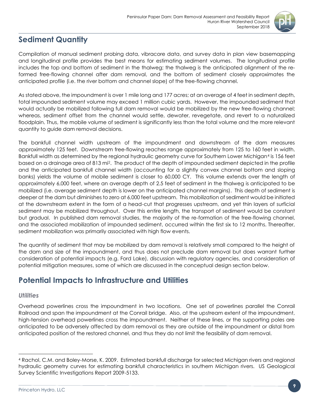

# <span id="page-13-0"></span>**Sediment Quantity**

Compilation of manual sediment probing data, vibracore data, and survey data in plan view basemapping and longitudinal profile provides the best means for estimating sediment volumes. The longitudinal profile includes the top and bottom of sediment in the thalweg; the thalweg is the anticipated alignment of the reformed free-flowing channel after dam removal, and the bottom of sediment closely approximates the anticipated profile (i.e. the river bottom and channel slope) of the free-flowing channel.

As stated above, the impoundment is over 1 mile long and 177 acres; at an average of 4 feet in sediment depth, total impounded sediment volume may exceed 1 million cubic yards. However, the impounded sediment that would actually be mobilized following full dam removal would be mobilized by the new free-flowing channel; whereas, sediment offset from the channel would settle, dewater, revegetate, and revert to a naturalized floodplain. Thus, the mobile volume of sediment is significantly less than the total volume and the more relevant quantity to guide dam removal decisions.

The bankfull channel width upstream of the impoundment and downstream of the dam measures approximately 125 feet. Downstream free-flowing reaches range approximately from 125 to 160 feet in width. Bankfull width as determined by the regional hydraulic geometry curve for Southern Lower Michigan<sup>4</sup> is 156 feet based on a drainage area of 813 mi2. The product of the depth of impounded sediment depicted in the profile and the anticipated bankfull channel width (accounting for a slightly convex channel bottom and sloping banks) yields the volume of mobile sediment is closer to 60,000 CY. This volume extends over the length of approximately 6,000 feet, where an average depth of 2.5 feet of sediment in the thalweg is anticipated to be mobilized (i.e. average sediment depth is lower on the anticipated channel margins). This depth of sediment is deeper at the dam but diminishes to zero at 6,000 feet upstream. This mobilization of sediment would be initiated at the downstream extent in the form of a head-cut that progresses upstream, and yet thin layers of surficial sediment may be mobilized throughout. Over this entire length, the transport of sediment would be constant but gradual. In published dam removal studies, the majority of the re-formation of the free-flowing channel, and the associated mobilization of impounded sediment, occurred within the first six to 12 months. Thereafter, sediment mobilization was primarily associated with high flow events.

The quantity of sediment that may be mobilized by dam removal is relatively small compared to the height of the dam and size of the impoundment, and thus does not preclude dam removal but does warrant further consideration of potential impacts (e.g. Ford Lake), discussion with regulatory agencies, and consideration of potential mitigation measures, some of which are discussed in the conceptual design section below.

# <span id="page-13-1"></span>**Potential Impacts to Infrastructure and Utilities**

#### <span id="page-13-2"></span>*Utilities*

l

Overhead powerlines cross the impoundment in two locations. One set of powerlines parallel the Conrail Railroad and span the impoundment at the Conrail bridge. Also, at the upstream extent of the impoundment, high-tension overhead powerlines cross the impoundment. Neither of these lines, or the supporting poles are anticipated to be adversely affected by dam removal as they are outside of the impoundment or distal from anticipated position of the restored channel, and thus they do not limit the feasibility of dam removal.

<sup>4</sup> Rachol, C.M. and Boley-Morse, K. 2009. Estimated bankfull discharge for selected Michigan rivers and regional hydraulic geometry curves for estimating bankfull characteristics in southern Michigan rivers. US Geological Survey Scientific Investigations Report 2009-5133.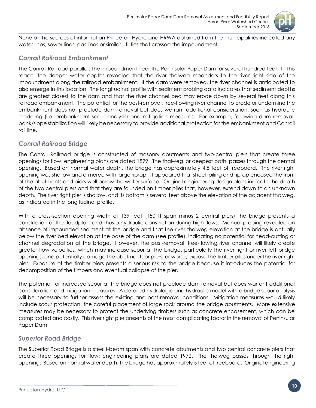

None of the sources of information Princeton Hydro and HRWA obtained from the municipalities indicated any water lines, sewer lines, gas lines or similar utilities that crossed the impoundment.

### <span id="page-14-0"></span>*Conrail Railroad Embankment*

The Conrail Railroad parallels the impoundment near the Peninsular Paper Dam for several hundred feet. In this reach, the deeper water depths revealed that the river thalweg meanders to the river right side of the impoundment along the railroad embankment. If the dam were removed, the river channel is anticipated to also emerge in this location. The longitudinal profile with sediment probing data indicates that sediment depths are greatest closest to the dam and that the river channel bed may erode down by several feet along this railroad embankment. The potential for the post-removal, free-flowing river channel to erode or undermine the embankment does not preclude dam removal but does warrant additional consideration, such as hydraulic modeling (i.e. embankment scour analysis) and mitigation measures. For example, following dam removal, bank/slope stabilization will likely be necessary to provide additional protection for the embankment and Conrail rail line.

#### <span id="page-14-1"></span>*Conrail Railroad Bridge*

The Conrail Railroad bridge is constructed of masonry abutments and two-central piers that create three openings for flow; engineering plans are dated 1899. The thalweg, or deepest path, passes through the central opening. Based on normal water depth, the bridge has approximately 4.5 feet of freeboard. The river right opening was shallow and armored with large riprap. It appeared that sheet-piling and riprap encased the front of the abutments and piers well below the water surface. Original engineering design plans indicate the depth of the two central piers and that they are founded on timber piles that, however, extend down to an unknown depth. The river right pier is shallow, and its bottom is several feet above the elevation of the adjacent thalweg, as indicated in the longitudinal profile.

With a cross-section opening width of 139 feet (150 ft span minus 2 central piers) the bridge presents a constriction of the floodplain and thus a hydraulic constriction during high flows. Manual probing revealed an absence of impounded sediment at the bridge and that the river thalweg elevation at the bridge is actually below the river bed elevation at the base of the dam (see profile), indicating no potential for head-cutting or channel degradation at the bridge. However, the post-removal, free-flowing river channel will likely create greater flow velocities, which may increase scour at the bridge, particularly the river right or river left bridge openings, and potentially damage the abutments or piers, or worse, expose the timber piles under the river right pier. Exposure of the timber piers presents a serious risk to the bridge because it introduces the potential for decomposition of the timbers and eventual collapse of the pier.

The potential for increased scour at the bridge does not preclude dam removal but does warrant additional consideration and mitigation measures. A detailed hydrologic and hydraulic model with a bridge scour analysis will be necessary to further assess the existing and post-removal conditions. Mitigation measures would likely include scour protection, the careful placement of large rock around the bridge abutments. More extensive measures may be necessary to protect the underlying timbers such as concrete encasement, which can be complicated and costly. This river right pier presents of the most complicating factor in the removal of Peninsular Paper Dam.

#### <span id="page-14-2"></span>*Superior Road Bridge*

The Superior Road Bridge is a steel I-beam span with concrete abutments and two central concrete piers that create three openings for flow; engineering plans are dated 1972. The thalweg passes through the right opening. Based on normal water depth, the bridge has approximately 5 feet of freeboard. Original engineering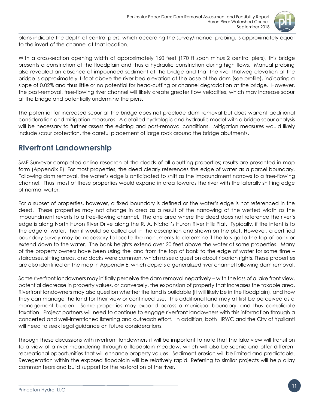

plans indicate the depth of central piers, which according the survey/manual probing, is approximately equal to the invert of the channel at that location.

With a cross-section opening width of approximately 160 feet (170 ft span minus 2 central piers), this bridge presents a constriction of the floodplain and thus a hydraulic constriction during high flows. Manual probing also revealed an absence of impounded sediment at the bridge and that the river thalweg elevation at the bridge is approximately 1-foot above the river bed elevation at the base of the dam (see profile), indicating a slope of 0.02% and thus little or no potential for head-cutting or channel degradation at the bridge. However, the post-removal, free-flowing river channel will likely create greater flow velocities, which may increase scour at the bridge and potentially undermine the piers.

The potential for increased scour at the bridge does not preclude dam removal but does warrant additional consideration and mitigation measures. A detailed hydrologic and hydraulic model with a bridge scour analysis will be necessary to further assess the existing and post-removal conditions. Mitigation measures would likely include scour protection, the careful placement of large rock around the bridge abutments.

# <span id="page-15-0"></span>**Riverfront Landownership**

SME Surveyor completed online research of the deeds of all abutting properties; results are presented in map form (Appendix E). For most properties, the deed clearly references the edge of water as a parcel boundary. Following dam removal, the water's edge is anticipated to shift as the impoundment narrows to a free-flowing channel. Thus, most of these properties would expand in area towards the river with the laterally shifting edge of normal water.

For a subset of properties, however, a fixed boundary is defined or the water's edge is not referenced in the deed. These properties may not change in area as a result of the narrowing of the wetted width as the impoundment reverts to a free-flowing channel. The one area where the deed does not reference the river's edge is along North Huron River Drive along the R. A. Nicholl's Huron River Hills Plat. Typically, if the intent is to the edge of water, then it would be called out in the description and shown on the plat. However, a certified boundary survey may be necessary to locate the monuments to determine if the lots go to the top of bank or extend down to the water. The bank heights extend over 20 feet above the water at some properties. Many of the property owners have been using the land from the top of bank to the edge of water for some time – staircases, sitting areas, and docks were common, which raises a question about riparian rights. These properties are also identified on the map in Appendix E, which depicts a generalized river channel following dam removal.

Some riverfront landowners may initially perceive the dam removal negatively – with the loss of a lake front view, potential decrease in property values, or conversely, the expansion of property that increases the taxable area. Riverfront landowners may also question whether the land is buildable (it will likely be in the floodplain), and how they can manage the land for their view or continued use. This additional land may at first be perceived as a management burden. Some properties may expand across a municipal boundary, and thus complicate taxation. Project partners will need to continue to engage riverfront landowners with this information through a concerted and well-intentioned listening and outreach effort. In addition, both HRWC and the City of Ypsilanti will need to seek legal guidance on future considerations.

Through these discussions with riverfront landowners it will be important to note that the lake view will transition to a view of a river meandering through a floodplain meadow, which will also be scenic and offer different recreational opportunities that will enhance property values. Sediment erosion will be limited and predictable. Revegetation within the exposed floodplain will be relatively rapid. Referring to similar projects will help allay common fears and build support for the restoration of the river.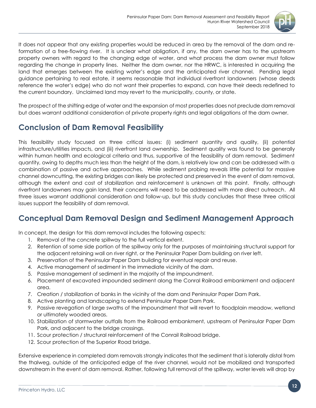

It does not appear that any existing properties would be reduced in area by the removal of the dam and reformation of a free-flowing river. It is unclear what obligation, if any, the dam owner has to the upstream property owners with regard to the changing edge of water, and what process the dam owner must follow regarding the change in property lines. Neither the dam owner, nor the HRWC, is interested in acquiring the land that emerges between the existing water's edge and the anticipated river channel. Pending legal guidance pertaining to real estate, it seems reasonable that individual riverfront landowners (whose deeds reference the water's edge) who do not want their properties to expand, can have their deeds redefined to the current boundary. Unclaimed land may revert to the municipality, county, or state.

The prospect of the shifting edge of water and the expansion of most properties does not preclude dam removal but does warrant additional consideration of private property rights and legal obligations of the dam owner.

# <span id="page-16-0"></span>**Conclusion of Dam Removal Feasibility**

This feasibility study focused on three critical issues: (i) sediment quantity and quality, (ii) potential infrastructure/utilities impacts, and (iii) riverfront land ownership. Sediment quality was found to be generally within human health and ecological criteria and thus, supportive of the feasibility of dam removal. Sediment quantity, owing to depths much less than the height of the dam, is relatively low and can be addressed with a combination of passive and active approaches. While sediment probing reveals little potential for massive channel downcutting, the existing bridges can likely be protected and preserved in the event of dam removal, although the extent and cost of stabilization and reinforcement is unknown at this point. Finally, although riverfront landowners may gain land, their concerns will need to be addressed with more direct outreach. All three issues warrant additional consideration and follow-up, but this study concludes that these three critical issues support the feasibility of dam removal.

# <span id="page-16-1"></span>**Conceptual Dam Removal Design and Sediment Management Approach**

In concept, the design for this dam removal includes the following aspects:

- 1. Removal of the concrete spillway to the full vertical extent.
- 2. Retention of some side portion of the spillway only for the purposes of maintaining structural support for the adjacent retaining wall on river right, or the Peninsular Paper Dam building on river left.
- 3. Preservation of the Peninsular Paper Dam building for eventual repair and reuse.
- 4. Active management of sediment in the immediate vicinity of the dam.
- 5. Passive management of sediment in the majority of the impoundment.
- 6. Placement of excavated impounded sediment along the Conral Railroad embankment and adjacent area.
- 7. Creation / stabilization of banks in the vicinity of the dam and Peninsular Paper Dam Park.
- 8. Active planting and landscaping to extend Peninsular Paper Dam Park.
- 9. Passive revegation of large swaths of the impoundment that will revert to floodplain meadow, wetland or ultimately wooded areas.
- 10. Stabilization of stormwater outfalls from the Railroad embankment, upstream of Peninsular Paper Dam Park, and adjacent to the bridge crossings.
- 11. Scour protection / structural reinforcement of the Conrail Railroad bridge.
- 12. Scour protection of the Superior Road bridge.

Extensive experience in completed dam removals strongly indicates that the sediment that is laterally distal from the thalweg, outside of the anticipated edge of the river channel, would not be mobilized and transported downstream in the event of dam removal. Rather, following full removal of the spillway, water levels will drop by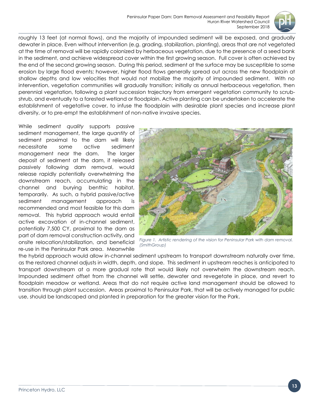

roughly 13 feet (at normal flows), and the majority of impounded sediment will be exposed, and gradually dewater in place. Even without intervention (e.g. grading, stabilization, planting), areas that are not vegetated at the time of removal will be rapidly colonized by herbaceous vegetation, due to the presence of a seed bank in the sediment, and achieve widespread cover within the first growing season. Full cover is often achieved by the end of the second growing season. During this period, sediment at the surface may be susceptible to some erosion by large flood events; however, higher flood flows generally spread out across the new floodplain at shallow depths and low velocities that would not mobilize the majority of impounded sediment. With no intervention, vegetation communities will gradually transition; initially as annual herbaceous vegetation, then perennial vegetation, following a plant succession trajectory from emergent vegetation community to scrubshrub, and eventually to a forested wetland or floodplain. Active planting can be undertaken to accelerate the establishment of vegetative cover, to infuse the floodplain with desirable plant species and increase plant diversity, or to pre-empt the establishment of non-native invasive species.

While sediment *quality* supports passive sediment management, the large *quantity* of sediment proximal to the dam will likely necessitate some active sediment management near the dam. The larger deposit of sediment at the dam, if released passively following dam removal, would release rapidly potentially overwhelming the downstream reach, accumulating in the channel and burying benthic habitat, temporarily. As such, a hybrid passive/active sediment management approach is recommended and most feasible for this dam removal. This hybrid approach would entail active excavation of in-channel sediment, potentially 7,500 CY, proximal to the dam as part of dam removal construction activity, and onsite relocation/stabilization, and beneficial re-use in the Peninsular Park area. Meanwhile



*Figure 1. Artistic rendering of the vision for Peninsular Park with dam removal. (SmithGroup)*

the hybrid approach would allow in-channel sediment upstream to transport downstream naturally over time, as the restored channel adjusts in width, depth, and slope. This sediment in upstream reaches is anticipated to transport downstream at a more gradual rate that would likely not overwhelm the downstream reach. Impounded sediment offset from the channel will settle, dewater and revegetate in place, and revert to floodplain meadow or wetland. Areas that do not require active land management should be allowed to transition through plant succession. Areas proximal to Peninsular Park, that will be actively managed for public use, should be landscaped and planted in preparation for the greater vision for the Park.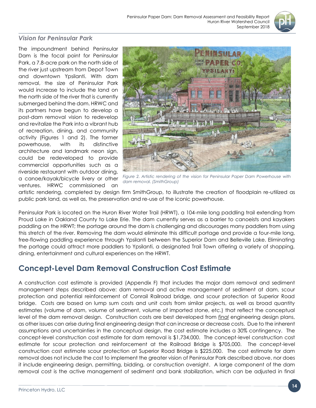

#### <span id="page-18-0"></span>*Vision for Peninsular Park*

The impoundment behind Peninsular Dam is the focal point for Peninsular Park, a 7.8-acre park on the north side of the river just upstream from Depot Town and downtown Ypsilanti. With dam removal, the size of Peninsular Park would increase to include the land on the north side of the river that is currently submerged behind the dam. HRWC and its partners have begun to develop a post-dam removal vision to redevelop and revitalize the Park into a vibrant hub of recreation, dining, and community activity (Figures 1 and 2). The former powerhouse, with its distinctive architecture and landmark neon sign, could be redeveloped to provide commercial opportunities such as a riverside restaurant with outdoor dining, a canoe/kayak/bicycle livery or other ventures. HRWC commissioned an



*Figure 2. Artistic rendering of the vision for Peninsular Paper Dam Powerhouse with dam removal. (SmithGroup)*

artistic rendering, completed by design firm SmithGroup, to illustrate the creation of floodplain re-utilized as public park land, as well as, the preservation and re-use of the iconic powerhouse.

Peninsular Park is located on the Huron River Water Trail (HRWT), a 104-mile long paddling trail extending from Proud Lake in Oakland County to Lake Erie. The dam currently serves as a barrier to canoeists and kayakers paddling on the HRWT; the portage around the dam is challenging and discourages many paddlers from using this stretch of the river. Removing the dam would eliminate this difficult portage and provide a four-mile long, free-flowing paddling experience through Ypsilanti between the Superior Dam and Belleville Lake. Eliminating the portage could attract more paddlers to Ypsilanti, a designated Trail Town offering a variety of shopping, dining, entertainment and cultural experiences on the HRWT.

# <span id="page-18-1"></span>**Concept-Level Dam Removal Construction Cost Estimate**

A construction cost estimate is provided (Appendix F) that includes the major dam removal and sediment management steps described above: dam removal and active management of sediment at dam, scour protection and potential reinforcement of Conrail Railroad bridge, and scour protection at Superior Road bridge. Costs are based on lump sum costs and unit costs from similar projects, as well as broad quantity estimates (volume of dam, volume of sediment, volume of imported stone, etc.) that reflect the conceptual level of the dam removal design. Construction costs are best developed from *final* engineering design plans, as other issues can arise during final engineering design that can increase or decrease costs. Due to the inherent assumptions and uncertainties in the conceptual design, the cost estimate includes a 30% contingency. The concept-level construction cost estimate for dam removal is \$1,734,000. The concept-level construction cost estimate for scour protection and reinforcement at the Railroad Bridge is \$705,000. The concept-level construction cost estimate scour protection at Superior Road Bridge is \$225,000. The cost estimate for dam removal does not include the cost to implement the greater vision of Peninsular Park described above, nor does it include engineering design, permitting, bidding, or construction oversight. A large component of the dam removal cost is the active management of sediment and bank stabilization, which can be adjusted in final